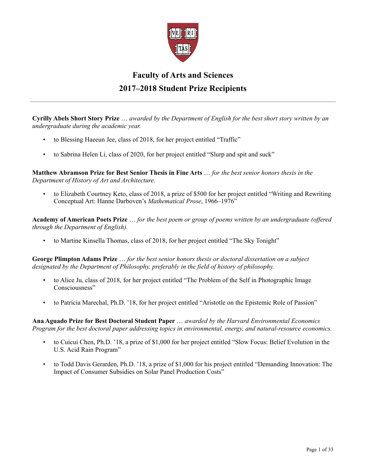

## **Faculty of Arts and Sciences 2017–2018 Student Prize Recipients**

**Cyrilly Abels Short Story Prize** … *awarded by the Department of English for the best short story written by an undergraduate during the academic year.*

- to Blessing Haeeun Jee, class of 2018, for her project entitled "Traffic"
- to Sabrina Helen Li, class of 2020, for her project entitled "Slurp and spit and suck"

**Matthew Abramson Prize for Best Senior Thesis in Fine Arts** … *for the best senior honors thesis in the Department of History of Art and Architecture.*

• to Elizabeth Courtney Keto, class of 2018, a prize of \$500 for her project entitled "Writing and Rewriting Conceptual Art: Hanne Darboven's *Mathematical Prose*, 1966–1976"

**Academy of American Poets Prize** … *for the best poem or group of poems written by an undergraduate (offered through the Department of English).*

• to Martine Kinsella Thomas, class of 2018, for her project entitled "The Sky Tonight"

**George Plimpton Adams Prize** … *for the best senior honors thesis or doctoral dissertation on a subject designated by the Department of Philosophy, preferably in the field of history of philosophy.*

- to Alice Ju, class of 2018, for her project entitled "The Problem of the Self in Photographic Image Consciousness"
- to Patricia Marechal, Ph.D. '18, for her project entitled "Aristotle on the Epistemic Role of Passion"

**Ana Aguado Prize for Best Doctoral Student Paper** … *awarded by the Harvard Environmental Economics Program for the best doctoral paper addressing topics in environmental, energy, and natural-resource economics.*

- to Cuicui Chen, Ph.D. '18, a prize of \$1,000 for her project entitled "Slow Focus: Belief Evolution in the U.S. Acid Rain Program"
- to Todd Davis Gerarden, Ph.D. '18, a prize of \$1,000 for his project entitled "Demanding Innovation: The Impact of Consumer Subsidies on Solar Panel Production Costs"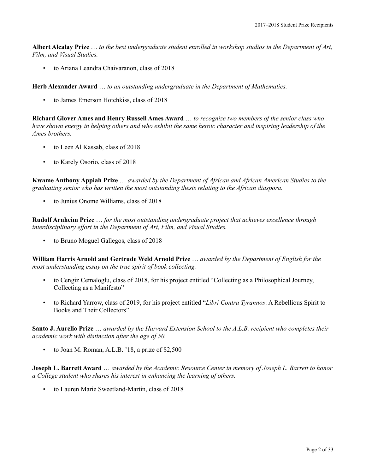**Albert Alcalay Prize** … *to the best undergraduate student enrolled in workshop studios in the Department of Art, Film, and Visual Studies.*

• to Ariana Leandra Chaivaranon, class of 2018

**Herb Alexander Award** … *to an outstanding undergraduate in the Department of Mathematics.*

• to James Emerson Hotchkiss, class of 2018

**Richard Glover Ames and Henry Russell Ames Award** … *to recognize two members of the senior class who have shown energy in helping others and who exhibit the same heroic character and inspiring leadership of the Ames brothers.*

- to Leen Al Kassab, class of 2018
- to Karely Osorio, class of 2018

**Kwame Anthony Appiah Prize** … *awarded by the Department of African and African American Studies to the graduating senior who has written the most outstanding thesis relating to the African diaspora.*

• to Junius Onome Williams, class of 2018

**Rudolf Arnheim Prize** … *for the most outstanding undergraduate project that achieves excellence through interdisciplinary effort in the Department of Art, Film, and Visual Studies.*

• to Bruno Moguel Gallegos, class of 2018

**William Harris Arnold and Gertrude Weld Arnold Prize** … *awarded by the Department of English for the most understanding essay on the true spirit of book collecting.*

- to Cengiz Cemaloglu, class of 2018, for his project entitled "Collecting as a Philosophical Journey, Collecting as a Manifesto"
- to Richard Yarrow, class of 2019, for his project entitled "*Libri Contra Tyrannos*: A Rebellious Spirit to Books and Their Collectors"

**Santo J. Aurelio Prize** … *awarded by the Harvard Extension School to the A.L.B. recipient who completes their academic work with distinction after the age of 50.*

• to Joan M. Roman, A.L.B. '18, a prize of \$2,500

**Joseph L. Barrett Award** … *awarded by the Academic Resource Center in memory of Joseph L. Barrett to honor a College student who shares his interest in enhancing the learning of others.*

• to Lauren Marie Sweetland-Martin, class of 2018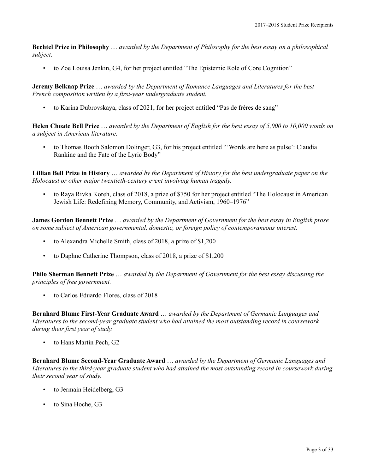**Bechtel Prize in Philosophy** … *awarded by the Department of Philosophy for the best essay on a philosophical subject.*

• to Zoe Louisa Jenkin, G4, for her project entitled "The Epistemic Role of Core Cognition"

**Jeremy Belknap Prize** … *awarded by the Department of Romance Languages and Literatures for the best French composition written by a first-year undergraduate student.*

• to Karina Dubrovskaya, class of 2021, for her project entitled "Pas de frères de sang"

**Helen Choate Bell Prize** … *awarded by the Department of English for the best essay of 5,000 to 10,000 words on a subject in American literature.*

• to Thomas Booth Salomon Dolinger, G3, for his project entitled "'Words are here as pulse': Claudia Rankine and the Fate of the Lyric Body"

**Lillian Bell Prize in History** … *awarded by the Department of History for the best undergraduate paper on the Holocaust or other major twentieth-century event involving human tragedy.*

• to Raya Rivka Koreh, class of 2018, a prize of \$750 for her project entitled "The Holocaust in American Jewish Life: Redefining Memory, Community, and Activism, 1960–1976"

**James Gordon Bennett Prize** … *awarded by the Department of Government for the best essay in English prose on some subject of American governmental, domestic, or foreign policy of contemporaneous interest.*

- to Alexandra Michelle Smith, class of 2018, a prize of \$1,200
- to Daphne Catherine Thompson, class of 2018, a prize of \$1,200

**Philo Sherman Bennett Prize** … *awarded by the Department of Government for the best essay discussing the principles of free government.*

• to Carlos Eduardo Flores, class of 2018

**Bernhard Blume First-Year Graduate Award** … *awarded by the Department of Germanic Languages and Literatures to the second-year graduate student who had attained the most outstanding record in coursework during their first year of study.*

• to Hans Martin Pech, G2

**Bernhard Blume Second-Year Graduate Award** … *awarded by the Department of Germanic Languages and Literatures to the third-year graduate student who had attained the most outstanding record in coursework during their second year of study.*

- to Jermain Heidelberg, G3
- to Sina Hoche, G3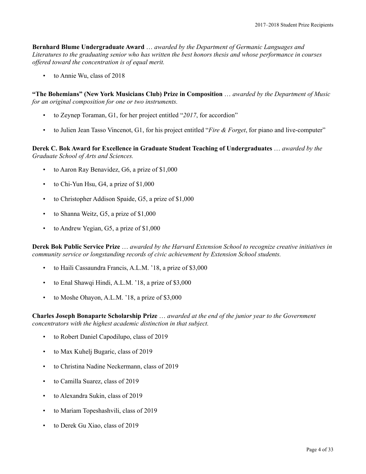**Bernhard Blume Undergraduate Award** … *awarded by the Department of Germanic Languages and Literatures to the graduating senior who has written the best honors thesis and whose performance in courses offered toward the concentration is of equal merit.*

to Annie Wu, class of 2018

**"The Bohemians" (New York Musicians Club) Prize in Composition** … *awarded by the Department of Music for an original composition for one or two instruments.*

- to Zeynep Toraman, G1, for her project entitled "*2017*, for accordion"
- to Julien Jean Tasso Vincenot, G1, for his project entitled "*Fire & Forget*, for piano and live-computer"

**Derek C. Bok Award for Excellence in Graduate Student Teaching of Undergraduates** … *awarded by the Graduate School of Arts and Sciences.*

- to Aaron Ray Benavidez, G6, a prize of \$1,000
- to Chi-Yun Hsu, G4, a prize of \$1,000
- to Christopher Addison Spaide, G5, a prize of \$1,000
- to Shanna Weitz, G5, a prize of \$1,000
- to Andrew Yegian, G5, a prize of \$1,000

**Derek Bok Public Service Prize** … *awarded by the Harvard Extension School to recognize creative initiatives in community service or longstanding records of civic achievement by Extension School students.*

- to Haili Cassaundra Francis, A.L.M. '18, a prize of \$3,000
- to Enal Shawqi Hindi, A.L.M. '18, a prize of \$3,000
- to Moshe Ohayon, A.L.M. '18, a prize of \$3,000

**Charles Joseph Bonaparte Scholarship Prize** … *awarded at the end of the junior year to the Government concentrators with the highest academic distinction in that subject.*

- to Robert Daniel Capodilupo, class of 2019
- to Max Kuhelj Bugaric, class of 2019
- to Christina Nadine Neckermann, class of 2019
- to Camilla Suarez, class of 2019
- to Alexandra Sukin, class of 2019
- to Mariam Topeshashvili, class of 2019
- to Derek Gu Xiao, class of 2019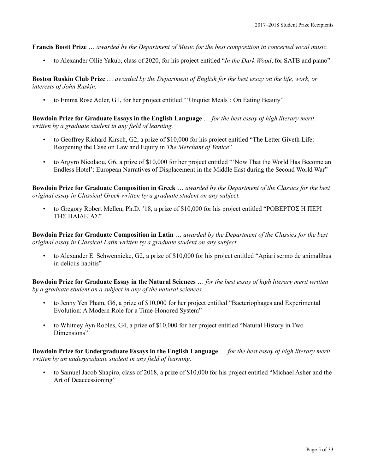**Francis Boott Prize** … *awarded by the Department of Music for the best composition in concerted vocal music.*

• to Alexander Ollie Yakub, class of 2020, for his project entitled "*In the Dark Wood*, for SATB and piano"

**Boston Ruskin Club Prize** … *awarded by the Department of English for the best essay on the life, work, or interests of John Ruskin.*

• to Emma Rose Adler, G1, for her project entitled "'Unquiet Meals': On Eating Beauty"

**Bowdoin Prize for Graduate Essays in the English Language** … *for the best essay of high literary merit written by a graduate student in any field of learning.*

- to Geoffrey Richard Kirsch, G2, a prize of \$10,000 for his project entitled "The Letter Giveth Life: Reopening the Case on Law and Equity in *The Merchant of Venice*"
- to Argyro Nicolaou, G6, a prize of \$10,000 for her project entitled "'Now That the World Has Become an Endless Hotel': European Narratives of Displacement in the Middle East during the Second World War"

**Bowdoin Prize for Graduate Composition in Greek** … *awarded by the Department of the Classics for the best original essay in Classical Greek written by a graduate student on any subject.*

• to Gregory Robert Mellen, Ph.D. '18, a prize of \$10,000 for his project entitled "ΡΟΒΕΡΤΟΣ Η ΠΕΡΙ ΤΗΣ ΠΑΙΔΕΙΑΣ"

**Bowdoin Prize for Graduate Composition in Latin** … *awarded by the Department of the Classics for the best original essay in Classical Latin written by a graduate student on any subject.*

• to Alexander E. Schwennicke, G2, a prize of \$10,000 for his project entitled "Apiari sermo de animalibus in deliciis habitis"

**Bowdoin Prize for Graduate Essay in the Natural Sciences** … *for the best essay of high literary merit written by a graduate student on a subject in any of the natural sciences.*

- to Jenny Yen Pham, G6, a prize of \$10,000 for her project entitled "Bacteriophages and Experimental Evolution: A Modern Role for a Time-Honored System"
- to Whitney Ayn Robles, G4, a prize of \$10,000 for her project entitled "Natural History in Two Dimensions"

**Bowdoin Prize for Undergraduate Essays in the English Language** … *for the best essay of high literary merit written by an undergraduate student in any field of learning.*

• to Samuel Jacob Shapiro, class of 2018, a prize of \$10,000 for his project entitled "Michael Asher and the Art of Deaccessioning"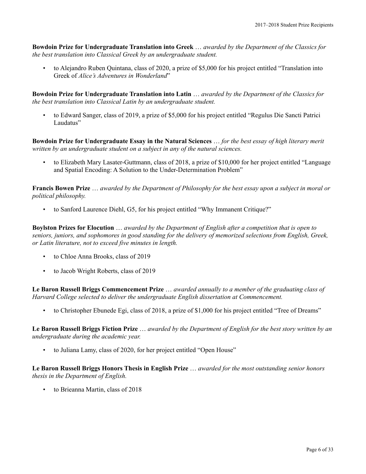**Bowdoin Prize for Undergraduate Translation into Greek** … *awarded by the Department of the Classics for the best translation into Classical Greek by an undergraduate student.*

• to Alejandro Ruben Quintana, class of 2020, a prize of \$5,000 for his project entitled "Translation into Greek of *Alice's Adventures in Wonderland*"

**Bowdoin Prize for Undergraduate Translation into Latin** … *awarded by the Department of the Classics for the best translation into Classical Latin by an undergraduate student.*

• to Edward Sanger, class of 2019, a prize of \$5,000 for his project entitled "Regulus Die Sancti Patrici Laudatus"

**Bowdoin Prize for Undergraduate Essay in the Natural Sciences** … *for the best essay of high literary merit written by an undergraduate student on a subject in any of the natural sciences.*

• to Elizabeth Mary Lasater-Guttmann, class of 2018, a prize of \$10,000 for her project entitled "Language and Spatial Encoding: A Solution to the Under-Determination Problem"

**Francis Bowen Prize** … *awarded by the Department of Philosophy for the best essay upon a subject in moral or political philosophy.*

• to Sanford Laurence Diehl, G5, for his project entitled "Why Immanent Critique?"

**Boylston Prizes for Elocution** … *awarded by the Department of English after a competition that is open to seniors, juniors, and sophomores in good standing for the delivery of memorized selections from English, Greek, or Latin literature, not to exceed five minutes in length.*

- to Chloe Anna Brooks, class of 2019
- to Jacob Wright Roberts, class of 2019

**Le Baron Russell Briggs Commencement Prize** … *awarded annually to a member of the graduating class of Harvard College selected to deliver the undergraduate English dissertation at Commencement.*

• to Christopher Ebunede Egi, class of 2018, a prize of \$1,000 for his project entitled "Tree of Dreams"

**Le Baron Russell Briggs Fiction Prize** … *awarded by the Department of English for the best story written by an undergraduate during the academic year.*

• to Juliana Lamy, class of 2020, for her project entitled "Open House"

**Le Baron Russell Briggs Honors Thesis in English Prize** … *awarded for the most outstanding senior honors thesis in the Department of English.*

• to Brieanna Martin, class of 2018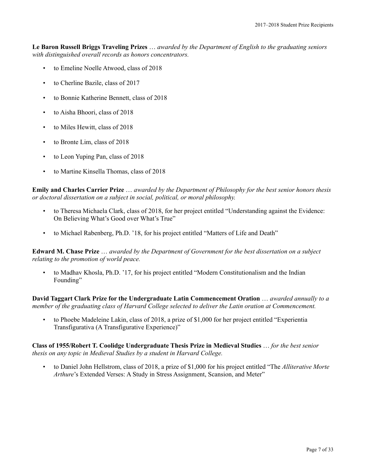**Le Baron Russell Briggs Traveling Prizes** … *awarded by the Department of English to the graduating seniors with distinguished overall records as honors concentrators.*

- to Emeline Noelle Atwood, class of 2018
- to Cherline Bazile, class of 2017
- to Bonnie Katherine Bennett, class of 2018
- to Aisha Bhoori, class of 2018
- to Miles Hewitt, class of 2018
- to Bronte Lim, class of 2018
- to Leon Yuping Pan, class of 2018
- to Martine Kinsella Thomas, class of 2018

**Emily and Charles Carrier Prize** … *awarded by the Department of Philosophy for the best senior honors thesis or doctoral dissertation on a subject in social, political, or moral philosophy.*

- to Theresa Michaela Clark, class of 2018, for her project entitled "Understanding against the Evidence: On Believing What's Good over What's True"
- to Michael Rabenberg, Ph.D. '18, for his project entitled "Matters of Life and Death"

**Edward M. Chase Prize** … *awarded by the Department of Government for the best dissertation on a subject relating to the promotion of world peace.*

• to Madhav Khosla, Ph.D. '17, for his project entitled "Modern Constitutionalism and the Indian Founding"

**David Taggart Clark Prize for the Undergraduate Latin Commencement Oration** … *awarded annually to a member of the graduating class of Harvard College selected to deliver the Latin oration at Commencement.*

• to Phoebe Madeleine Lakin, class of 2018, a prize of \$1,000 for her project entitled "Experientia Transfigurativa (A Transfigurative Experience)"

**Class of 1955/Robert T. Coolidge Undergraduate Thesis Prize in Medieval Studies** … *for the best senior thesis on any topic in Medieval Studies by a student in Harvard College.*

• to Daniel John Hellstrom, class of 2018, a prize of \$1,000 for his project entitled "The *Alliterative Morte Arthure*'s Extended Verses: A Study in Stress Assignment, Scansion, and Meter"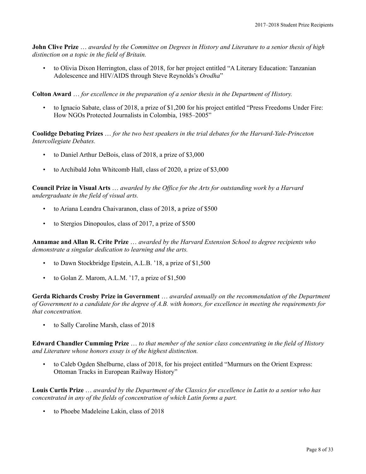**John Clive Prize** … *awarded by the Committee on Degrees in History and Literature to a senior thesis of high distinction on a topic in the field of Britain.*

• to Olivia Dixon Herrington, class of 2018, for her project entitled "A Literary Education: Tanzanian Adolescence and HIV/AIDS through Steve Reynolds's *Orodha*"

**Colton Award** … *for excellence in the preparation of a senior thesis in the Department of History.*

• to Ignacio Sabate, class of 2018, a prize of \$1,200 for his project entitled "Press Freedoms Under Fire: How NGOs Protected Journalists in Colombia, 1985–2005"

**Coolidge Debating Prizes** … *for the two best speakers in the trial debates for the Harvard-Yale-Princeton Intercollegiate Debates.*

- to Daniel Arthur DeBois, class of 2018, a prize of \$3,000
- to Archibald John Whitcomb Hall, class of 2020, a prize of \$3,000

**Council Prize in Visual Arts** … *awarded by the Office for the Arts for outstanding work by a Harvard undergraduate in the field of visual arts.*

- to Ariana Leandra Chaivaranon, class of 2018, a prize of \$500
- to Stergios Dinopoulos, class of 2017, a prize of \$500

**Annamae and Allan R. Crite Prize** … *awarded by the Harvard Extension School to degree recipients who demonstrate a singular dedication to learning and the arts.*

- to Dawn Stockbridge Epstein, A.L.B. '18, a prize of \$1,500
- to Golan Z. Marom, A.L.M. '17, a prize of \$1,500

**Gerda Richards Crosby Prize in Government** … *awarded annually on the recommendation of the Department of Government to a candidate for the degree of A.B. with honors, for excellence in meeting the requirements for that concentration.*

• to Sally Caroline Marsh, class of 2018

**Edward Chandler Cumming Prize** … *to that member of the senior class concentrating in the field of History and Literature whose honors essay is of the highest distinction.*

• to Caleb Ogden Shelburne, class of 2018, for his project entitled "Murmurs on the Orient Express: Ottoman Tracks in European Railway History"

**Louis Curtis Prize** … *awarded by the Department of the Classics for excellence in Latin to a senior who has concentrated in any of the fields of concentration of which Latin forms a part.*

• to Phoebe Madeleine Lakin, class of 2018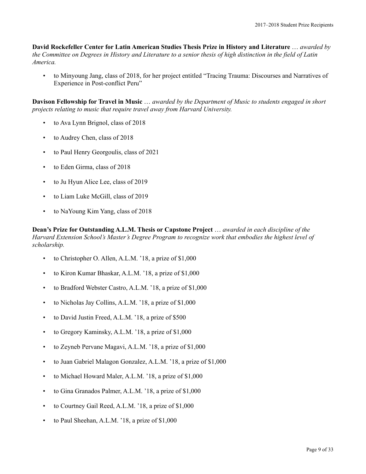**David Rockefeller Center for Latin American Studies Thesis Prize in History and Literature** … *awarded by the Committee on Degrees in History and Literature to a senior thesis of high distinction in the field of Latin America.*

• to Minyoung Jang, class of 2018, for her project entitled "Tracing Trauma: Discourses and Narratives of Experience in Post-conflict Peru"

**Davison Fellowship for Travel in Music** … *awarded by the Department of Music to students engaged in short projects relating to music that require travel away from Harvard University.*

- to Ava Lynn Brignol, class of 2018
- to Audrey Chen, class of 2018
- to Paul Henry Georgoulis, class of 2021
- to Eden Girma, class of 2018
- to Ju Hyun Alice Lee, class of 2019
- to Liam Luke McGill, class of 2019
- to NaYoung Kim Yang, class of 2018

**Dean's Prize for Outstanding A.L.M. Thesis or Capstone Project** … *awarded in each discipline of the Harvard Extension School's Master's Degree Program to recognize work that embodies the highest level of scholarship.*

- to Christopher O. Allen, A.L.M. '18, a prize of \$1,000
- to Kiron Kumar Bhaskar, A.L.M. '18, a prize of \$1,000
- to Bradford Webster Castro, A.L.M. '18, a prize of \$1,000
- to Nicholas Jay Collins, A.L.M. '18, a prize of \$1,000
- to David Justin Freed, A.L.M. '18, a prize of \$500
- to Gregory Kaminsky, A.L.M. '18, a prize of \$1,000
- to Zeyneb Pervane Magavi, A.L.M. '18, a prize of \$1,000
- to Juan Gabriel Malagon Gonzalez, A.L.M. '18, a prize of \$1,000
- to Michael Howard Maler, A.L.M. '18, a prize of \$1,000
- to Gina Granados Palmer, A.L.M. '18, a prize of \$1,000
- to Courtney Gail Reed, A.L.M. '18, a prize of \$1,000
- to Paul Sheehan, A.L.M. '18, a prize of \$1,000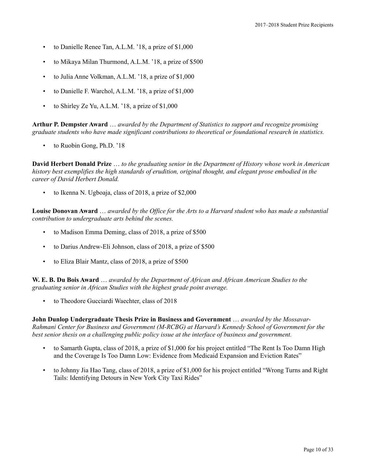- to Danielle Renee Tan, A.L.M. '18, a prize of \$1,000
- to Mikaya Milan Thurmond, A.L.M. '18, a prize of \$500
- to Julia Anne Volkman, A.L.M. '18, a prize of \$1,000
- to Danielle F. Warchol, A.L.M. '18, a prize of \$1,000
- to Shirley Ze Yu, A.L.M. '18, a prize of \$1,000

**Arthur P. Dempster Award** … *awarded by the Department of Statistics to support and recognize promising graduate students who have made significant contributions to theoretical or foundational research in statistics.*

to Ruobin Gong, Ph.D. '18

**David Herbert Donald Prize** … *to the graduating senior in the Department of History whose work in American history best exemplifies the high standards of erudition, original thought, and elegant prose embodied in the career of David Herbert Donald.*

• to Ikenna N. Ugboaja, class of 2018, a prize of \$2,000

**Louise Donovan Award** … *awarded by the Office for the Arts to a Harvard student who has made a substantial contribution to undergraduate arts behind the scenes.*

- to Madison Emma Deming, class of 2018, a prize of \$500
- to Darius Andrew-Eli Johnson, class of 2018, a prize of \$500
- to Eliza Blair Mantz, class of 2018, a prize of \$500

**W. E. B. Du Bois Award** … *awarded by the Department of African and African American Studies to the graduating senior in African Studies with the highest grade point average.*

• to Theodore Gucciardi Waechter, class of 2018

**John Dunlop Undergraduate Thesis Prize in Business and Government** … *awarded by the Mossavar-Rahmani Center for Business and Government (M-RCBG) at Harvard's Kennedy School of Government for the best senior thesis on a challenging public policy issue at the interface of business and government.*

- to Samarth Gupta, class of 2018, a prize of \$1,000 for his project entitled "The Rent Is Too Damn High and the Coverage Is Too Damn Low: Evidence from Medicaid Expansion and Eviction Rates"
- to Johnny Jia Hao Tang, class of 2018, a prize of \$1,000 for his project entitled "Wrong Turns and Right Tails: Identifying Detours in New York City Taxi Rides"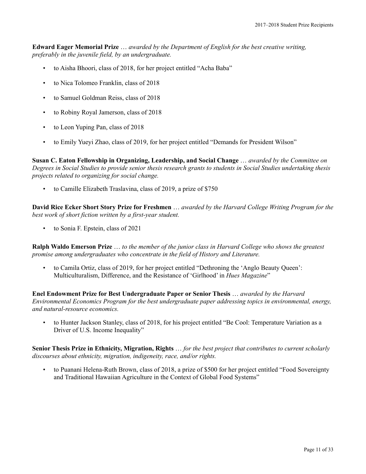**Edward Eager Memorial Prize** … *awarded by the Department of English for the best creative writing, preferably in the juvenile field, by an undergraduate.*

- to Aisha Bhoori, class of 2018, for her project entitled "Acha Baba"
- to Nica Tolomeo Franklin, class of 2018
- to Samuel Goldman Reiss, class of 2018
- to Robiny Royal Jamerson, class of 2018
- to Leon Yuping Pan, class of 2018
- to Emily Yueyi Zhao, class of 2019, for her project entitled "Demands for President Wilson"

**Susan C. Eaton Fellowship in Organizing, Leadership, and Social Change** … *awarded by the Committee on Degrees in Social Studies to provide senior thesis research grants to students in Social Studies undertaking thesis projects related to organizing for social change.*

• to Camille Elizabeth Traslavina, class of 2019, a prize of \$750

**David Rice Ecker Short Story Prize for Freshmen** … *awarded by the Harvard College Writing Program for the best work of short fiction written by a first-year student.*

• to Sonia F. Epstein, class of 2021

**Ralph Waldo Emerson Prize** … *to the member of the junior class in Harvard College who shows the greatest promise among undergraduates who concentrate in the field of History and Literature.*

• to Camila Ortiz, class of 2019, for her project entitled "Dethroning the 'Anglo Beauty Queen': Multiculturalism, Difference, and the Resistance of 'Girlhood' in *Hues Magazine*"

**Enel Endowment Prize for Best Undergraduate Paper or Senior Thesis** … *awarded by the Harvard Environmental Economics Program for the best undergraduate paper addressing topics in environmental, energy, and natural-resource economics.*

• to Hunter Jackson Stanley, class of 2018, for his project entitled "Be Cool: Temperature Variation as a Driver of U.S. Income Inequality"

**Senior Thesis Prize in Ethnicity, Migration, Rights** … *for the best project that contributes to current scholarly discourses about ethnicity, migration, indigeneity, race, and/or rights.*

• to Puanani Helena-Ruth Brown, class of 2018, a prize of \$500 for her project entitled "Food Sovereignty and Traditional Hawaiian Agriculture in the Context of Global Food Systems"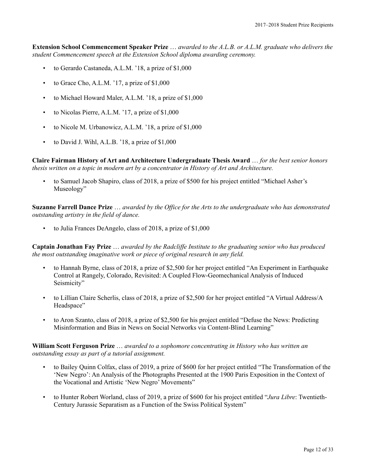**Extension School Commencement Speaker Prize** … *awarded to the A.L.B. or A.L.M. graduate who delivers the student Commencement speech at the Extension School diploma awarding ceremony.*

- to Gerardo Castaneda, A.L.M. '18, a prize of \$1,000
- to Grace Cho, A.L.M. '17, a prize of \$1,000
- to Michael Howard Maler, A.L.M. '18, a prize of \$1,000
- to Nicolas Pierre, A.L.M. '17, a prize of \$1,000
- to Nicole M. Urbanowicz, A.L.M. '18, a prize of \$1,000
- to David J. Wihl, A.L.B. '18, a prize of \$1,000

**Claire Fairman History of Art and Architecture Undergraduate Thesis Award** … *for the best senior honors thesis written on a topic in modern art by a concentrator in History of Art and Architecture.*

• to Samuel Jacob Shapiro, class of 2018, a prize of \$500 for his project entitled "Michael Asher's Museology"

**Suzanne Farrell Dance Prize** … *awarded by the Office for the Arts to the undergraduate who has demonstrated outstanding artistry in the field of dance.*

• to Julia Frances DeAngelo, class of 2018, a prize of \$1,000

**Captain Jonathan Fay Prize** … *awarded by the Radcliffe Institute to the graduating senior who has produced the most outstanding imaginative work or piece of original research in any field.*

- to Hannah Byrne, class of 2018, a prize of \$2,500 for her project entitled "An Experiment in Earthquake Control at Rangely, Colorado, Revisited: A Coupled Flow-Geomechanical Analysis of Induced Seismicity"
- to Lillian Claire Scherlis, class of 2018, a prize of \$2,500 for her project entitled "A Virtual Address/A Headspace"
- to Aron Szanto, class of 2018, a prize of \$2,500 for his project entitled "Defuse the News: Predicting Misinformation and Bias in News on Social Networks via Content-Blind Learning"

## **William Scott Ferguson Prize** … *awarded to a sophomore concentrating in History who has written an outstanding essay as part of a tutorial assignment.*

- to Bailey Quinn Colfax, class of 2019, a prize of \$600 for her project entitled "The Transformation of the 'New Negro': An Analysis of the Photographs Presented at the 1900 Paris Exposition in the Context of the Vocational and Artistic 'New Negro' Movements"
- to Hunter Robert Worland, class of 2019, a prize of \$600 for his project entitled "*Jura Libre*: Twentieth-Century Jurassic Separatism as a Function of the Swiss Political System"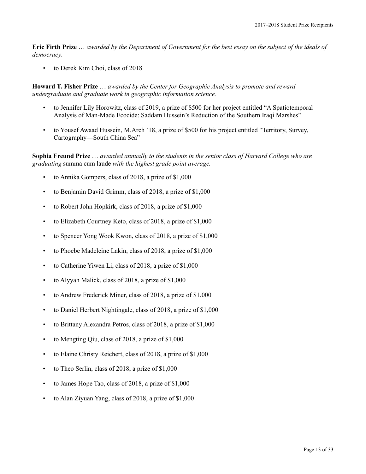**Eric Firth Prize** … *awarded by the Department of Government for the best essay on the subject of the ideals of democracy.*

• to Derek Kim Choi, class of 2018

**Howard T. Fisher Prize** … *awarded by the Center for Geographic Analysis to promote and reward undergraduate and graduate work in geographic information science.*

- to Jennifer Lily Horowitz, class of 2019, a prize of \$500 for her project entitled "A Spatiotemporal Analysis of Man-Made Ecocide: Saddam Hussein's Reduction of the Southern Iraqi Marshes"
- to Yousef Awaad Hussein, M.Arch '18, a prize of \$500 for his project entitled "Territory, Survey, Cartography—South China Sea"

**Sophia Freund Prize** … *awarded annually to the students in the senior class of Harvard College who are graduating* summa cum laude *with the highest grade point average.*

- to Annika Gompers, class of 2018, a prize of \$1,000
- to Benjamin David Grimm, class of 2018, a prize of \$1,000
- to Robert John Hopkirk, class of 2018, a prize of \$1,000
- to Elizabeth Courtney Keto, class of 2018, a prize of \$1,000
- to Spencer Yong Wook Kwon, class of 2018, a prize of \$1,000
- to Phoebe Madeleine Lakin, class of 2018, a prize of \$1,000
- to Catherine Yiwen Li, class of 2018, a prize of \$1,000
- to Alyyah Malick, class of 2018, a prize of \$1,000
- to Andrew Frederick Miner, class of 2018, a prize of \$1,000
- to Daniel Herbert Nightingale, class of 2018, a prize of \$1,000
- to Brittany Alexandra Petros, class of 2018, a prize of \$1,000
- to Mengting Qiu, class of 2018, a prize of \$1,000
- to Elaine Christy Reichert, class of 2018, a prize of \$1,000
- to Theo Serlin, class of 2018, a prize of \$1,000
- to James Hope Tao, class of 2018, a prize of \$1,000
- to Alan Ziyuan Yang, class of 2018, a prize of \$1,000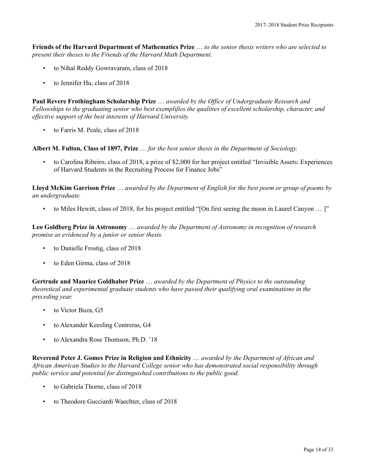**Friends of the Harvard Department of Mathematics Prize** … *to the senior thesis writers who are selected to present their theses to the Friends of the Harvard Math Department.*

- to Nihal Reddy Gowravaram, class of 2018
- to Jennifer Hu, class of 2018

**Paul Revere Frothingham Scholarship Prize** … *awarded by the Office of Undergraduate Research and Fellowships to the graduating senior who best exemplifies the qualities of excellent scholarship, character, and effective support of the best interests of Harvard University.*

• to Farris M. Peale, class of 2018

**Albert M. Fulton, Class of 1897, Prize** … *for the best senior thesis in the Department of Sociology.*

• to Carolina Ribeiro, class of 2018, a prize of \$2,000 for her project entitled "Invisible Assets: Experiences of Harvard Students in the Recruiting Process for Finance Jobs"

**Lloyd McKim Garrison Prize** … *awarded by the Department of English for the best poem or group of poems by an undergraduate.*

• to Miles Hewitt, class of 2018, for his project entitled "[On first seeing the moon in Laurel Canyon … ]"

**Leo Goldberg Prize in Astronomy** … *awarded by the Department of Astronomy in recognition of research promise as evidenced by a junior or senior thesis.*

- to Danielle Frostig, class of 2018
- to Eden Girma, class of 2018

**Gertrude and Maurice Goldhaber Prize** … *awarded by the Department of Physics to the outstanding theoretical and experimental graduate students who have passed their qualifying oral examinations in the preceding year.*

- to Victor Buza, G5
- to Alexander Keesling Contreras, G4
- to Alexandra Rose Thomson, Ph.D. '18

**Reverend Peter J. Gomes Prize in Religion and Ethnicity** … *awarded by the Department of African and African American Studies to the Harvard College senior who has demonstrated social responsibility through public service and potential for distinguished contributions to the public good.*

- to Gabriela Thorne, class of 2018
- to Theodore Gucciardi Waechter, class of 2018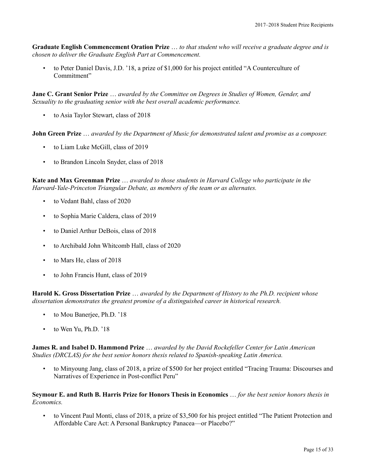**Graduate English Commencement Oration Prize** … *to that student who will receive a graduate degree and is chosen to deliver the Graduate English Part at Commencement.*

• to Peter Daniel Davis, J.D. '18, a prize of \$1,000 for his project entitled "A Counterculture of Commitment"

**Jane C. Grant Senior Prize** … *awarded by the Committee on Degrees in Studies of Women, Gender, and Sexuality to the graduating senior with the best overall academic performance.*

• to Asia Taylor Stewart, class of 2018

**John Green Prize** … *awarded by the Department of Music for demonstrated talent and promise as a composer.*

- to Liam Luke McGill, class of 2019
- to Brandon Lincoln Snyder, class of 2018

**Kate and Max Greenman Prize** … *awarded to those students in Harvard College who participate in the Harvard-Yale-Princeton Triangular Debate, as members of the team or as alternates.*

- to Vedant Bahl, class of 2020
- to Sophia Marie Caldera, class of 2019
- to Daniel Arthur DeBois, class of 2018
- to Archibald John Whitcomb Hall, class of 2020
- to Mars He, class of 2018
- to John Francis Hunt, class of 2019

**Harold K. Gross Dissertation Prize** … *awarded by the Department of History to the Ph.D. recipient whose dissertation demonstrates the greatest promise of a distinguished career in historical research.*

- to Mou Banerjee, Ph.D. '18
- to Wen Yu, Ph.D. '18

**James R. and Isabel D. Hammond Prize** … *awarded by the David Rockefeller Center for Latin American Studies (DRCLAS) for the best senior honors thesis related to Spanish-speaking Latin America.*

• to Minyoung Jang, class of 2018, a prize of \$500 for her project entitled "Tracing Trauma: Discourses and Narratives of Experience in Post-conflict Peru"

**Seymour E. and Ruth B. Harris Prize for Honors Thesis in Economics** … *for the best senior honors thesis in Economics.*

• to Vincent Paul Monti, class of 2018, a prize of \$3,500 for his project entitled "The Patient Protection and Affordable Care Act: A Personal Bankruptcy Panacea—or Placebo?"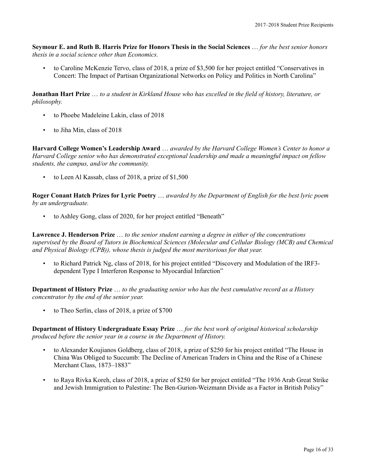**Seymour E. and Ruth B. Harris Prize for Honors Thesis in the Social Sciences** … *for the best senior honors thesis in a social science other than Economics.*

• to Caroline McKenzie Tervo, class of 2018, a prize of \$3,500 for her project entitled "Conservatives in Concert: The Impact of Partisan Organizational Networks on Policy and Politics in North Carolina"

**Jonathan Hart Prize** … *to a student in Kirkland House who has excelled in the field of history, literature, or philosophy.*

- to Phoebe Madeleine Lakin, class of 2018
- to Jiha Min, class of 2018

**Harvard College Women's Leadership Award** … *awarded by the Harvard College Women's Center to honor a Harvard College senior who has demonstrated exceptional leadership and made a meaningful impact on fellow students, the campus, and/or the community.*

to Leen Al Kassab, class of 2018, a prize of \$1,500

**Roger Conant Hatch Prizes for Lyric Poetry** … *awarded by the Department of English for the best lyric poem by an undergraduate.*

• to Ashley Gong, class of 2020, for her project entitled "Beneath"

**Lawrence J. Henderson Prize** … *to the senior student earning a degree in either of the concentrations supervised by the Board of Tutors in Biochemical Sciences (Molecular and Cellular Biology (MCB) and Chemical and Physical Biology (CPB)), whose thesis is judged the most meritorious for that year.*

• to Richard Patrick Ng, class of 2018, for his project entitled "Discovery and Modulation of the IRF3 dependent Type I Interferon Response to Myocardial Infarction"

**Department of History Prize** … *to the graduating senior who has the best cumulative record as a History concentrator by the end of the senior year.*

• to Theo Serlin, class of 2018, a prize of \$700

**Department of History Undergraduate Essay Prize** … *for the best work of original historical scholarship produced before the senior year in a course in the Department of History.*

- to Alexander Koujianos Goldberg, class of 2018, a prize of \$250 for his project entitled "The House in China Was Obliged to Succumb: The Decline of American Traders in China and the Rise of a Chinese Merchant Class, 1873–1883"
- to Raya Rivka Koreh, class of 2018, a prize of \$250 for her project entitled "The 1936 Arab Great Strike and Jewish Immigration to Palestine: The Ben-Gurion-Weizmann Divide as a Factor in British Policy"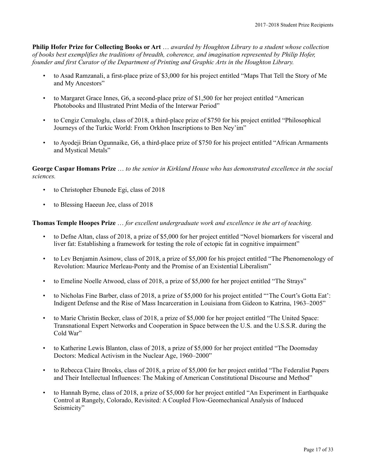**Philip Hofer Prize for Collecting Books or Art** … *awarded by Houghton Library to a student whose collection of books best exemplifies the traditions of breadth, coherence, and imagination represented by Philip Hofer, founder and first Curator of the Department of Printing and Graphic Arts in the Houghton Library.*

- to Asad Ramzanali, a first-place prize of \$3,000 for his project entitled "Maps That Tell the Story of Me and My Ancestors"
- to Margaret Grace Innes, G6, a second-place prize of \$1,500 for her project entitled "American Photobooks and Illustrated Print Media of the Interwar Period"
- to Cengiz Cemaloglu, class of 2018, a third-place prize of \$750 for his project entitled "Philosophical Journeys of the Turkic World: From Orkhon Inscriptions to Ben Ney'im"
- to Ayodeji Brian Ogunnaike, G6, a third-place prize of \$750 for his project entitled "African Armaments and Mystical Metals"

**George Caspar Homans Prize** … *to the senior in Kirkland House who has demonstrated excellence in the social sciences.*

- to Christopher Ebunede Egi, class of 2018
- to Blessing Haeeun Jee, class of 2018

## **Thomas Temple Hoopes Prize** … *for excellent undergraduate work and excellence in the art of teaching.*

- to Defne Altan, class of 2018, a prize of \$5,000 for her project entitled "Novel biomarkers for visceral and liver fat: Establishing a framework for testing the role of ectopic fat in cognitive impairment"
- to Lev Benjamin Asimow, class of 2018, a prize of \$5,000 for his project entitled "The Phenomenology of Revolution: Maurice Merleau-Ponty and the Promise of an Existential Liberalism"
- to Emeline Noelle Atwood, class of 2018, a prize of \$5,000 for her project entitled "The Strays"
- to Nicholas Fine Barber, class of 2018, a prize of \$5,000 for his project entitled "'The Court's Gotta Eat': Indigent Defense and the Rise of Mass Incarceration in Louisiana from Gideon to Katrina, 1963–2005"
- to Marie Christin Becker, class of 2018, a prize of \$5,000 for her project entitled "The United Space: Transnational Expert Networks and Cooperation in Space between the U.S. and the U.S.S.R. during the Cold War"
- to Katherine Lewis Blanton, class of 2018, a prize of \$5,000 for her project entitled "The Doomsday Doctors: Medical Activism in the Nuclear Age, 1960–2000"
- to Rebecca Claire Brooks, class of 2018, a prize of \$5,000 for her project entitled "The Federalist Papers and Their Intellectual Influences: The Making of American Constitutional Discourse and Method"
- to Hannah Byrne, class of 2018, a prize of \$5,000 for her project entitled "An Experiment in Earthquake Control at Rangely, Colorado, Revisited: A Coupled Flow-Geomechanical Analysis of Induced Seismicity"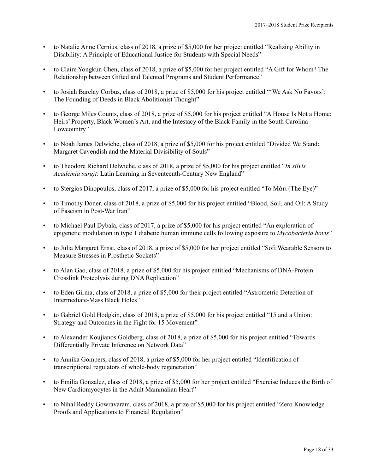- to Natalie Anne Cernius, class of 2018, a prize of \$5,000 for her project entitled "Realizing Ability in Disability: A Principle of Educational Justice for Students with Special Needs"
- to Claire Yongkun Chen, class of 2018, a prize of \$5,000 for her project entitled "A Gift for Whom? The Relationship between Gifted and Talented Programs and Student Performance"
- to Josiah Barclay Corbus, class of 2018, a prize of \$5,000 for his project entitled "'We Ask No Favors': The Founding of Deeds in Black Abolitionist Thought"
- to George Miles Counts, class of 2018, a prize of \$5,000 for his project entitled "A House Is Not a Home: Heirs' Property, Black Women's Art, and the Intestacy of the Black Family in the South Carolina Lowcountry"
- to Noah James Delwiche, class of 2018, a prize of \$5,000 for his project entitled "Divided We Stand: Margaret Cavendish and the Material Divisibility of Souls"
- to Theodore Richard Delwiche, class of 2018, a prize of \$5,000 for his project entitled "*In silvis Academia surgit*: Latin Learning in Seventeenth-Century New England"
- to Stergios Dinopoulos, class of 2017, a prize of \$5,000 for his project entitled "Το Μάτι (The Eye)"
- to Timothy Doner, class of 2018, a prize of \$5,000 for his project entitled "Blood, Soil, and Oil: A Study of Fascism in Post-War Iran"
- to Michael Paul Dybala, class of 2017, a prize of \$5,000 for his project entitled "An exploration of epigenetic modulation in type 1 diabetic human immune cells following exposure to *Mycobacteria bovis*"
- to Julia Margaret Ernst, class of 2018, a prize of \$5,000 for her project entitled "Soft Wearable Sensors to Measure Stresses in Prosthetic Sockets"
- to Alan Gao, class of 2018, a prize of \$5,000 for his project entitled "Mechanisms of DNA-Protein Crosslink Proteolysis during DNA Replication"
- to Eden Girma, class of 2018, a prize of \$5,000 for their project entitled "Astrometric Detection of Intermediate-Mass Black Holes"
- to Gabriel Gold Hodgkin, class of 2018, a prize of \$5,000 for his project entitled "15 and a Union: Strategy and Outcomes in the Fight for 15 Movement"
- to Alexander Koujianos Goldberg, class of 2018, a prize of \$5,000 for his project entitled "Towards Differentially Private Inference on Network Data"
- to Annika Gompers, class of 2018, a prize of \$5,000 for her project entitled "Identification of transcriptional regulators of whole-body regeneration"
- to Emilia Gonzalez, class of 2018, a prize of \$5,000 for her project entitled "Exercise Induces the Birth of New Cardiomyocytes in the Adult Mammalian Heart"
- to Nihal Reddy Gowravaram, class of 2018, a prize of \$5,000 for his project entitled "Zero Knowledge Proofs and Applications to Financial Regulation"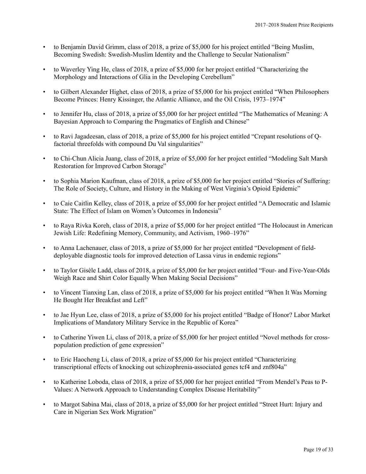- to Benjamin David Grimm, class of 2018, a prize of \$5,000 for his project entitled "Being Muslim, Becoming Swedish: Swedish-Muslim Identity and the Challenge to Secular Nationalism"
- to Waverley Ying He, class of 2018, a prize of \$5,000 for her project entitled "Characterizing the Morphology and Interactions of Glia in the Developing Cerebellum"
- to Gilbert Alexander Highet, class of 2018, a prize of \$5,000 for his project entitled "When Philosophers Become Princes: Henry Kissinger, the Atlantic Alliance, and the Oil Crisis, 1973–1974"
- to Jennifer Hu, class of 2018, a prize of \$5,000 for her project entitled "The Mathematics of Meaning: A Bayesian Approach to Comparing the Pragmatics of English and Chinese"
- to Ravi Jagadeesan, class of 2018, a prize of \$5,000 for his project entitled "Crepant resolutions of Qfactorial threefolds with compound Du Val singularities"
- to Chi-Chun Alicia Juang, class of 2018, a prize of \$5,000 for her project entitled "Modeling Salt Marsh Restoration for Improved Carbon Storage"
- to Sophia Marion Kaufman, class of 2018, a prize of \$5,000 for her project entitled "Stories of Suffering: The Role of Society, Culture, and History in the Making of West Virginia's Opioid Epidemic"
- to Caie Caitlin Kelley, class of 2018, a prize of \$5,000 for her project entitled "A Democratic and Islamic State: The Effect of Islam on Women's Outcomes in Indonesia"
- to Raya Rivka Koreh, class of 2018, a prize of \$5,000 for her project entitled "The Holocaust in American Jewish Life: Redefining Memory, Community, and Activism, 1960–1976"
- to Anna Lachenauer, class of 2018, a prize of \$5,000 for her project entitled "Development of fielddeployable diagnostic tools for improved detection of Lassa virus in endemic regions"
- to Taylor Gisèle Ladd, class of 2018, a prize of \$5,000 for her project entitled "Four- and Five-Year-Olds Weigh Race and Shirt Color Equally When Making Social Decisions"
- to Vincent Tianxing Lan, class of 2018, a prize of \$5,000 for his project entitled "When It Was Morning He Bought Her Breakfast and Left"
- to Jae Hyun Lee, class of 2018, a prize of \$5,000 for his project entitled "Badge of Honor? Labor Market Implications of Mandatory Military Service in the Republic of Korea"
- to Catherine Yiwen Li, class of 2018, a prize of \$5,000 for her project entitled "Novel methods for crosspopulation prediction of gene expression"
- to Eric Haocheng Li, class of 2018, a prize of \$5,000 for his project entitled "Characterizing transcriptional effects of knocking out schizophrenia-associated genes tcf4 and znf804a"
- to Katherine Loboda, class of 2018, a prize of \$5,000 for her project entitled "From Mendel's Peas to P-Values: A Network Approach to Understanding Complex Disease Heritability"
- to Margot Sabina Mai, class of 2018, a prize of \$5,000 for her project entitled "Street Hurt: Injury and Care in Nigerian Sex Work Migration"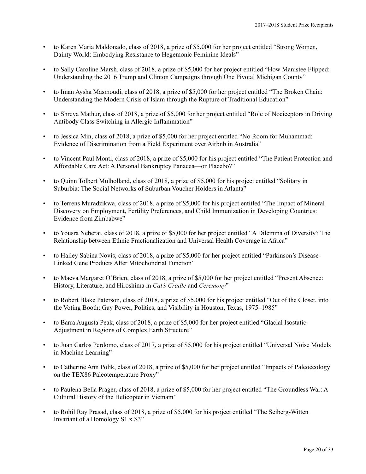- to Karen Maria Maldonado, class of 2018, a prize of \$5,000 for her project entitled "Strong Women, Dainty World: Embodying Resistance to Hegemonic Feminine Ideals"
- to Sally Caroline Marsh, class of 2018, a prize of \$5,000 for her project entitled "How Manistee Flipped: Understanding the 2016 Trump and Clinton Campaigns through One Pivotal Michigan County"
- to Iman Aysha Masmoudi, class of 2018, a prize of \$5,000 for her project entitled "The Broken Chain: Understanding the Modern Crisis of Islam through the Rupture of Traditional Education"
- to Shreya Mathur, class of 2018, a prize of \$5,000 for her project entitled "Role of Nociceptors in Driving Antibody Class Switching in Allergic Inflammation"
- to Jessica Min, class of 2018, a prize of \$5,000 for her project entitled "No Room for Muhammad: Evidence of Discrimination from a Field Experiment over Airbnb in Australia"
- to Vincent Paul Monti, class of 2018, a prize of \$5,000 for his project entitled "The Patient Protection and Affordable Care Act: A Personal Bankruptcy Panacea—or Placebo?"
- to Quinn Tolbert Mulholland, class of 2018, a prize of \$5,000 for his project entitled "Solitary in Suburbia: The Social Networks of Suburban Voucher Holders in Atlanta"
- to Terrens Muradzikwa, class of 2018, a prize of \$5,000 for his project entitled "The Impact of Mineral Discovery on Employment, Fertility Preferences, and Child Immunization in Developing Countries: Evidence from Zimbabwe"
- to Yousra Neberai, class of 2018, a prize of \$5,000 for her project entitled "A Dilemma of Diversity? The Relationship between Ethnic Fractionalization and Universal Health Coverage in Africa"
- to Hailey Sabina Novis, class of 2018, a prize of \$5,000 for her project entitled "Parkinson's Disease-Linked Gene Products Alter Mitochondrial Function"
- to Maeva Margaret O'Brien, class of 2018, a prize of \$5,000 for her project entitled "Present Absence: History, Literature, and Hiroshima in *Cat's Cradle* and *Ceremony*"
- to Robert Blake Paterson, class of 2018, a prize of \$5,000 for his project entitled "Out of the Closet, into the Voting Booth: Gay Power, Politics, and Visibility in Houston, Texas, 1975–1985"
- to Barra Augusta Peak, class of 2018, a prize of \$5,000 for her project entitled "Glacial Isostatic Adjustment in Regions of Complex Earth Structure"
- to Juan Carlos Perdomo, class of 2017, a prize of \$5,000 for his project entitled "Universal Noise Models in Machine Learning"
- to Catherine Ann Polik, class of 2018, a prize of \$5,000 for her project entitled "Impacts of Paleoecology on the TEX86 Paleotemperature Proxy"
- to Paulena Bella Prager, class of 2018, a prize of \$5,000 for her project entitled "The Groundless War: A Cultural History of the Helicopter in Vietnam"
- to Rohil Ray Prasad, class of 2018, a prize of \$5,000 for his project entitled "The Seiberg-Witten Invariant of a Homology S1 x S3"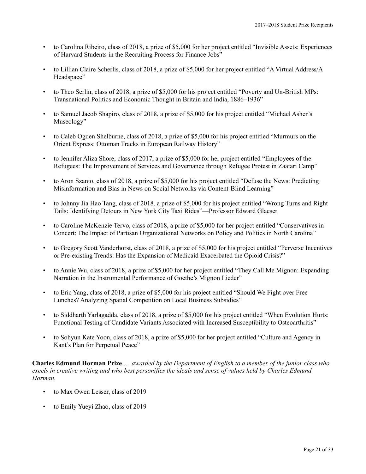- to Carolina Ribeiro, class of 2018, a prize of \$5,000 for her project entitled "Invisible Assets: Experiences of Harvard Students in the Recruiting Process for Finance Jobs"
- to Lillian Claire Scherlis, class of 2018, a prize of \$5,000 for her project entitled "A Virtual Address/A Headspace"
- to Theo Serlin, class of 2018, a prize of \$5,000 for his project entitled "Poverty and Un-British MPs: Transnational Politics and Economic Thought in Britain and India, 1886–1936"
- to Samuel Jacob Shapiro, class of 2018, a prize of \$5,000 for his project entitled "Michael Asher's Museology"
- to Caleb Ogden Shelburne, class of 2018, a prize of \$5,000 for his project entitled "Murmurs on the Orient Express: Ottoman Tracks in European Railway History"
- to Jennifer Aliza Shore, class of 2017, a prize of \$5,000 for her project entitled "Employees of the Refugees: The Improvement of Services and Governance through Refugee Protest in Zaatari Camp"
- to Aron Szanto, class of 2018, a prize of \$5,000 for his project entitled "Defuse the News: Predicting Misinformation and Bias in News on Social Networks via Content-Blind Learning"
- to Johnny Jia Hao Tang, class of 2018, a prize of \$5,000 for his project entitled "Wrong Turns and Right Tails: Identifying Detours in New York City Taxi Rides"—Professor Edward Glaeser
- to Caroline McKenzie Tervo, class of 2018, a prize of \$5,000 for her project entitled "Conservatives in Concert: The Impact of Partisan Organizational Networks on Policy and Politics in North Carolina"
- to Gregory Scott Vanderhorst, class of 2018, a prize of \$5,000 for his project entitled "Perverse Incentives or Pre-existing Trends: Has the Expansion of Medicaid Exacerbated the Opioid Crisis?"
- to Annie Wu, class of 2018, a prize of \$5,000 for her project entitled "They Call Me Mignon: Expanding Narration in the Instrumental Performance of Goethe's Mignon Lieder"
- to Eric Yang, class of 2018, a prize of \$5,000 for his project entitled "Should We Fight over Free Lunches? Analyzing Spatial Competition on Local Business Subsidies"
- to Siddharth Yarlagadda, class of 2018, a prize of \$5,000 for his project entitled "When Evolution Hurts: Functional Testing of Candidate Variants Associated with Increased Susceptibility to Osteoarthritis"
- to Sohyun Kate Yoon, class of 2018, a prize of \$5,000 for her project entitled "Culture and Agency in Kant's Plan for Perpetual Peace"

**Charles Edmund Horman Prize** … *awarded by the Department of English to a member of the junior class who excels in creative writing and who best personifies the ideals and sense of values held by Charles Edmund Horman.*

- to Max Owen Lesser, class of 2019
- to Emily Yueyi Zhao, class of 2019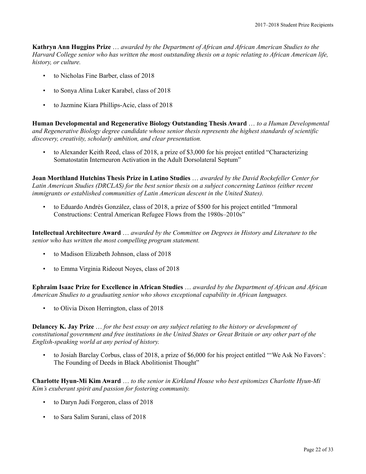**Kathryn Ann Huggins Prize** … *awarded by the Department of African and African American Studies to the Harvard College senior who has written the most outstanding thesis on a topic relating to African American life, history, or culture.*

- to Nicholas Fine Barber, class of 2018
- to Sonya Alina Luker Karabel, class of 2018
- to Jazmine Kiara Phillips-Acie, class of 2018

**Human Developmental and Regenerative Biology Outstanding Thesis Award** … *to a Human Developmental and Regenerative Biology degree candidate whose senior thesis represents the highest standards of scientific discovery, creativity, scholarly ambition, and clear presentation.*

• to Alexander Keith Reed, class of 2018, a prize of \$3,000 for his project entitled "Characterizing" Somatostatin Interneuron Activation in the Adult Dorsolateral Septum"

**Joan Morthland Hutchins Thesis Prize in Latino Studies** … *awarded by the David Rockefeller Center for Latin American Studies (DRCLAS) for the best senior thesis on a subject concerning Latinos (either recent immigrants or established communities of Latin American descent in the United States).*

• to Eduardo Andrés González, class of 2018, a prize of \$500 for his project entitled "Immoral Constructions: Central American Refugee Flows from the 1980s–2010s"

**Intellectual Architecture Award** … *awarded by the Committee on Degrees in History and Literature to the senior who has written the most compelling program statement.*

- to Madison Elizabeth Johnson, class of 2018
- to Emma Virginia Rideout Noyes, class of 2018

**Ephraim Isaac Prize for Excellence in African Studies** … *awarded by the Department of African and African American Studies to a graduating senior who shows exceptional capability in African languages.*

• to Olivia Dixon Herrington, class of 2018

**Delancey K. Jay Prize** … *for the best essay on any subject relating to the history or development of constitutional government and free institutions in the United States or Great Britain or any other part of the English-speaking world at any period of history.*

• to Josiah Barclay Corbus, class of 2018, a prize of \$6,000 for his project entitled "'We Ask No Favors': The Founding of Deeds in Black Abolitionist Thought"

**Charlotte Hyun-Mi Kim Award** … *to the senior in Kirkland House who best epitomizes Charlotte Hyun-Mi Kim's exuberant spirit and passion for fostering community.*

- to Daryn Judi Forgeron, class of 2018
- to Sara Salim Surani, class of 2018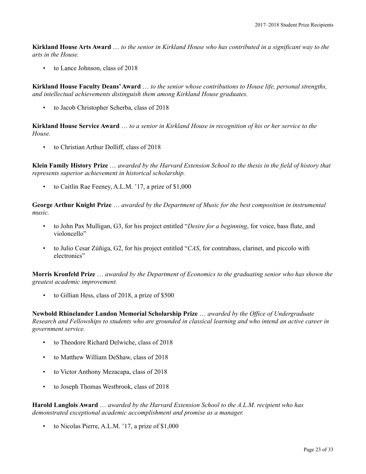**Kirkland House Arts Award** … *to the senior in Kirkland House who has contributed in a significant way to the arts in the House.*

to Lance Johnson, class of 2018

**Kirkland House Faculty Deans' Award** … *to the senior whose contributions to House life, personal strengths, and intellectual achievements distinguish them among Kirkland House graduates.*

• to Jacob Christopher Scherba, class of 2018

**Kirkland House Service Award** … *to a senior in Kirkland House in recognition of his or her service to the House.*

• to Christian Arthur Dolliff, class of 2018

**Klein Family History Prize** … *awarded by the Harvard Extension School to the thesis in the field of history that represents superior achievement in historical scholarship.*

• to Caitlin Rae Feeney, A.L.M. '17, a prize of \$1,000

**George Arthur Knight Prize** … *awarded by the Department of Music for the best composition in instrumental music.*

- to John Pax Mulligan, G3, for his project entitled "*Desire for a beginning*, for voice, bass flute, and violoncello"
- to Julio Cesar Zúñiga, G2, for his project entitled "*CAS*, for contrabass, clarinet, and piccolo with electronics"

**Morris Kronfeld Prize** … *awarded by the Department of Economics to the graduating senior who has shown the greatest academic improvement.*

• to Gillian Hess, class of 2018, a prize of \$500

**Newbold Rhinelander Landon Memorial Scholarship Prize** … *awarded by the Office of Undergraduate Research and Fellowships to students who are grounded in classical learning and who intend an active career in government service.*

- to Theodore Richard Delwiche, class of 2018
- to Matthew William DeShaw, class of 2018
- to Victor Anthony Mezacapa, class of 2018
- to Joseph Thomas Westbrook, class of 2018

**Harold Langlois Award** … *awarded by the Harvard Extension School to the A.L.M. recipient who has demonstrated exceptional academic accomplishment and promise as a manager.*

• to Nicolas Pierre, A.L.M. '17, a prize of \$1,000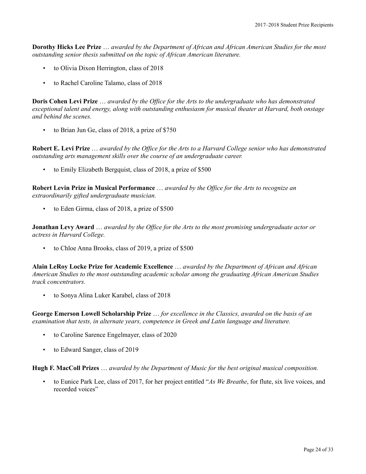**Dorothy Hicks Lee Prize** … *awarded by the Department of African and African American Studies for the most outstanding senior thesis submitted on the topic of African American literature.*

- to Olivia Dixon Herrington, class of 2018
- to Rachel Caroline Talamo, class of 2018

**Doris Cohen Levi Prize** … *awarded by the Office for the Arts to the undergraduate who has demonstrated exceptional talent and energy, along with outstanding enthusiasm for musical theater at Harvard, both onstage and behind the scenes.*

• to Brian Jun Ge, class of 2018, a prize of \$750

**Robert E. Levi Prize** … *awarded by the Office for the Arts to a Harvard College senior who has demonstrated outstanding arts management skills over the course of an undergraduate career.*

• to Emily Elizabeth Bergquist, class of 2018, a prize of \$500

**Robert Levin Prize in Musical Performance** … *awarded by the Office for the Arts to recognize an extraordinarily gifted undergraduate musician.*

• to Eden Girma, class of 2018, a prize of \$500

**Jonathan Levy Award** … *awarded by the Office for the Arts to the most promising undergraduate actor or actress in Harvard College.*

• to Chloe Anna Brooks, class of 2019, a prize of \$500

**Alain LeRoy Locke Prize for Academic Excellence** … *awarded by the Department of African and African American Studies to the most outstanding academic scholar among the graduating African American Studies track concentrators.*

• to Sonya Alina Luker Karabel, class of 2018

**George Emerson Lowell Scholarship Prize** … *for excellence in the Classics, awarded on the basis of an examination that tests, in alternate years, competence in Greek and Latin language and literature.*

- to Caroline Sarence Engelmayer, class of 2020
- to Edward Sanger, class of 2019

**Hugh F. MacColl Prizes** … *awarded by the Department of Music for the best original musical composition.*

• to Eunice Park Lee, class of 2017, for her project entitled "*As We Breathe*, for flute, six live voices, and recorded voices"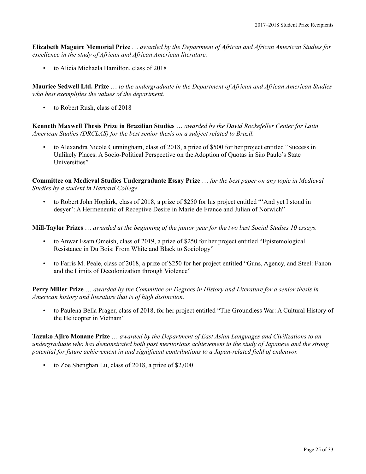**Elizabeth Maguire Memorial Prize** … *awarded by the Department of African and African American Studies for excellence in the study of African and African American literature.*

• to Alicia Michaela Hamilton, class of 2018

**Maurice Sedwell Ltd. Prize** … *to the undergraduate in the Department of African and African American Studies who best exemplifies the values of the department.*

to Robert Rush, class of 2018

**Kenneth Maxwell Thesis Prize in Brazilian Studies** … *awarded by the David Rockefeller Center for Latin American Studies (DRCLAS) for the best senior thesis on a subject related to Brazil.*

• to Alexandra Nicole Cunningham, class of 2018, a prize of \$500 for her project entitled "Success in Unlikely Places: A Socio-Political Perspective on the Adoption of Quotas in São Paulo's State Universities"

**Committee on Medieval Studies Undergraduate Essay Prize** … *for the best paper on any topic in Medieval Studies by a student in Harvard College.*

• to Robert John Hopkirk, class of 2018, a prize of \$250 for his project entitled "'And yet I stond in desyer': A Hermeneutic of Receptive Desire in Marie de France and Julian of Norwich"

**Mill-Taylor Prizes** … *awarded at the beginning of the junior year for the two best Social Studies 10 essays.*

- to Anwar Esam Omeish, class of 2019, a prize of \$250 for her project entitled "Epistemological Resistance in Du Bois: From White and Black to Sociology"
- to Farris M. Peale, class of 2018, a prize of \$250 for her project entitled "Guns, Agency, and Steel: Fanon and the Limits of Decolonization through Violence"

**Perry Miller Prize** … *awarded by the Committee on Degrees in History and Literature for a senior thesis in American history and literature that is of high distinction.*

• to Paulena Bella Prager, class of 2018, for her project entitled "The Groundless War: A Cultural History of the Helicopter in Vietnam"

**Tazuko Ajiro Monane Prize** … *awarded by the Department of East Asian Languages and Civilizations to an undergraduate who has demonstrated both past meritorious achievement in the study of Japanese and the strong potential for future achievement in and significant contributions to a Japan-related field of endeavor.*

• to Zoe Shenghan Lu, class of 2018, a prize of \$2,000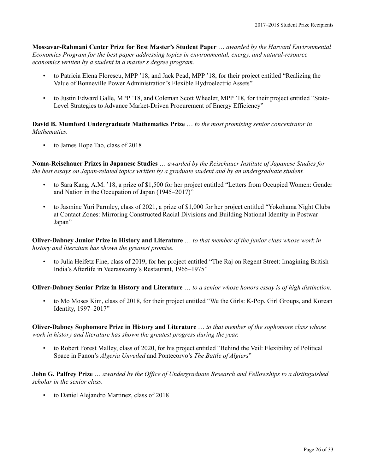**Mossavar-Rahmani Center Prize for Best Master's Student Paper** … *awarded by the Harvard Environmental Economics Program for the best paper addressing topics in environmental, energy, and natural-resource economics written by a student in a master's degree program.*

- to Patricia Elena Florescu, MPP '18, and Jack Pead, MPP '18, for their project entitled "Realizing the Value of Bonneville Power Administration's Flexible Hydroelectric Assets"
- to Justin Edward Galle, MPP '18, and Coleman Scott Wheeler, MPP '18, for their project entitled "State-Level Strategies to Advance Market-Driven Procurement of Energy Efficiency"

**David B. Mumford Undergraduate Mathematics Prize** … *to the most promising senior concentrator in Mathematics.*

• to James Hope Tao, class of 2018

**Noma-Reischauer Prizes in Japanese Studies** … *awarded by the Reischauer Institute of Japanese Studies for the best essays on Japan-related topics written by a graduate student and by an undergraduate student.*

- to Sara Kang, A.M. '18, a prize of \$1,500 for her project entitled "Letters from Occupied Women: Gender and Nation in the Occupation of Japan (1945–2017)"
- to Jasmine Yuri Parmley, class of 2021, a prize of \$1,000 for her project entitled "Yokohama Night Clubs at Contact Zones: Mirroring Constructed Racial Divisions and Building National Identity in Postwar Japan"

**Oliver-Dabney Junior Prize in History and Literature** … *to that member of the junior class whose work in history and literature has shown the greatest promise.*

• to Julia Heifetz Fine, class of 2019, for her project entitled "The Raj on Regent Street: Imagining British India's Afterlife in Veeraswamy's Restaurant, 1965–1975"

**Oliver-Dabney Senior Prize in History and Literature** … *to a senior whose honors essay is of high distinction.*

• to Mo Moses Kim, class of 2018, for their project entitled "We the Girls: K-Pop, Girl Groups, and Korean Identity, 1997–2017"

**Oliver-Dabney Sophomore Prize in History and Literature** … *to that member of the sophomore class whose work in history and literature has shown the greatest progress during the year.*

• to Robert Forest Malley, class of 2020, for his project entitled "Behind the Veil: Flexibility of Political Space in Fanon's *Algeria Unveiled* and Pontecorvo's *The Battle of Algiers*"

**John G. Palfrey Prize** … *awarded by the Office of Undergraduate Research and Fellowships to a distinguished scholar in the senior class.*

• to Daniel Alejandro Martinez, class of 2018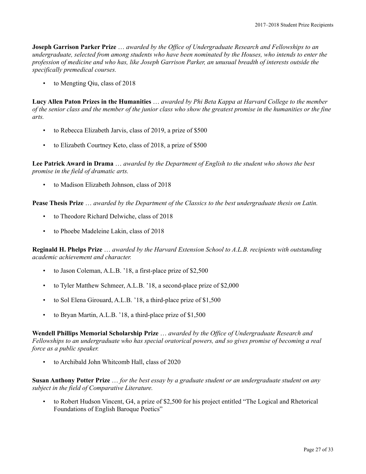**Joseph Garrison Parker Prize** … *awarded by the Office of Undergraduate Research and Fellowships to an undergraduate, selected from among students who have been nominated by the Houses, who intends to enter the profession of medicine and who has, like Joseph Garrison Parker, an unusual breadth of interests outside the specifically premedical courses.*

• to Mengting Qiu, class of 2018

**Lucy Allen Paton Prizes in the Humanities** … *awarded by Phi Beta Kappa at Harvard College to the member of the senior class and the member of the junior class who show the greatest promise in the humanities or the fine arts.*

- to Rebecca Elizabeth Jarvis, class of 2019, a prize of \$500
- to Elizabeth Courtney Keto, class of 2018, a prize of \$500

**Lee Patrick Award in Drama** … *awarded by the Department of English to the student who shows the best promise in the field of dramatic arts.*

• to Madison Elizabeth Johnson, class of 2018

**Pease Thesis Prize** … *awarded by the Department of the Classics to the best undergraduate thesis on Latin.*

- to Theodore Richard Delwiche, class of 2018
- to Phoebe Madeleine Lakin, class of 2018

**Reginald H. Phelps Prize** … *awarded by the Harvard Extension School to A.L.B. recipients with outstanding academic achievement and character.*

- to Jason Coleman, A.L.B. '18, a first-place prize of \$2,500
- to Tyler Matthew Schmeer, A.L.B. '18, a second-place prize of \$2,000
- to Sol Elena Girouard, A.L.B. '18, a third-place prize of \$1,500
- to Bryan Martin, A.L.B. '18, a third-place prize of \$1,500

**Wendell Phillips Memorial Scholarship Prize** … *awarded by the Office of Undergraduate Research and Fellowships to an undergraduate who has special oratorical powers, and so gives promise of becoming a real force as a public speaker.*

• to Archibald John Whitcomb Hall, class of 2020

**Susan Anthony Potter Prize** … *for the best essay by a graduate student or an undergraduate student on any subject in the field of Comparative Literature.*

• to Robert Hudson Vincent, G4, a prize of \$2,500 for his project entitled "The Logical and Rhetorical Foundations of English Baroque Poetics"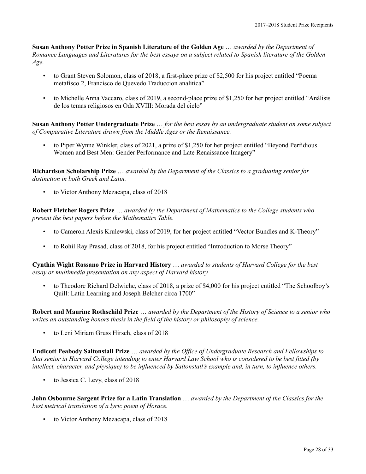**Susan Anthony Potter Prize in Spanish Literature of the Golden Age** … *awarded by the Department of Romance Languages and Literatures for the best essays on a subject related to Spanish literature of the Golden Age.*

- to Grant Steven Solomon, class of 2018, a first-place prize of \$2,500 for his project entitled "Poema metafisco 2, Francisco de Quevedo Traduccion analitica"
- to Michelle Anna Vaccaro, class of 2019, a second-place prize of \$1,250 for her project entitled "Análisis de los temas religiosos en Oda XVIII: Morada del cielo"

**Susan Anthony Potter Undergraduate Prize** … *for the best essay by an undergraduate student on some subject of Comparative Literature drawn from the Middle Ages or the Renaissance.*

• to Piper Wynne Winkler, class of 2021, a prize of \$1,250 for her project entitled "Beyond Perfidious Women and Best Men: Gender Performance and Late Renaissance Imagery"

**Richardson Scholarship Prize** … *awarded by the Department of the Classics to a graduating senior for distinction in both Greek and Latin.*

• to Victor Anthony Mezacapa, class of 2018

**Robert Fletcher Rogers Prize** … *awarded by the Department of Mathematics to the College students who present the best papers before the Mathematics Table.*

- to Cameron Alexis Krulewski, class of 2019, for her project entitled "Vector Bundles and K-Theory"
- to Rohil Ray Prasad, class of 2018, for his project entitled "Introduction to Morse Theory"

**Cynthia Wight Rossano Prize in Harvard History** … *awarded to students of Harvard College for the best essay or multimedia presentation on any aspect of Harvard history.*

• to Theodore Richard Delwiche, class of 2018, a prize of \$4,000 for his project entitled "The Schoolboy's Quill: Latin Learning and Joseph Belcher circa 1700"

**Robert and Maurine Rothschild Prize** … *awarded by the Department of the History of Science to a senior who writes an outstanding honors thesis in the field of the history or philosophy of science.*

• to Leni Miriam Gruss Hirsch, class of 2018

**Endicott Peabody Saltonstall Prize** … *awarded by the Office of Undergraduate Research and Fellowships to that senior in Harvard College intending to enter Harvard Law School who is considered to be best fitted (by intellect, character, and physique) to be influenced by Saltonstall's example and, in turn, to influence others.*

• to Jessica C. Levy, class of 2018

**John Osbourne Sargent Prize for a Latin Translation** … *awarded by the Department of the Classics for the best metrical translation of a lyric poem of Horace.*

• to Victor Anthony Mezacapa, class of 2018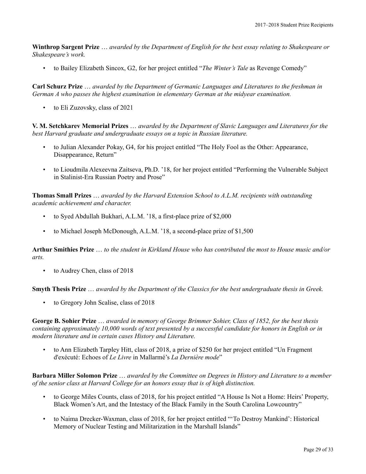**Winthrop Sargent Prize** … *awarded by the Department of English for the best essay relating to Shakespeare or Shakespeare's work.*

• to Bailey Elizabeth Sincox, G2, for her project entitled "*The Winter's Tale* as Revenge Comedy"

**Carl Schurz Prize** … *awarded by the Department of Germanic Languages and Literatures to the freshman in German A who passes the highest examination in elementary German at the midyear examination.*

• to Eli Zuzovsky, class of 2021

**V. M. Setchkarev Memorial Prizes** … *awarded by the Department of Slavic Languages and Literatures for the best Harvard graduate and undergraduate essays on a topic in Russian literature.*

- to Julian Alexander Pokay, G4, for his project entitled "The Holy Fool as the Other: Appearance, Disappearance, Return"
- to Lioudmila Alexeevna Zaitseva, Ph.D. '18, for her project entitled "Performing the Vulnerable Subject in Stalinist-Era Russian Poetry and Prose"

**Thomas Small Prizes** … *awarded by the Harvard Extension School to A.L.M. recipients with outstanding academic achievement and character.*

- to Syed Abdullah Bukhari, A.L.M. '18, a first-place prize of \$2,000
- to Michael Joseph McDonough, A.L.M. '18, a second-place prize of \$1,500

**Arthur Smithies Prize** … *to the student in Kirkland House who has contributed the most to House music and/or arts.*

to Audrey Chen, class of 2018

**Smyth Thesis Prize** … *awarded by the Department of the Classics for the best undergraduate thesis in Greek.*

• to Gregory John Scalise, class of 2018

**George B. Sohier Prize** … *awarded in memory of George Brimmer Sohier, Class of 1852, for the best thesis containing approximately 10,000 words of text presented by a successful candidate for honors in English or in modern literature and in certain cases History and Literature.*

• to Ann Elizabeth Tarpley Hitt, class of 2018, a prize of \$250 for her project entitled "Un Fragment d'exécuté: Echoes of *Le Livre* in Mallarmé's *La Dernière mode*"

**Barbara Miller Solomon Prize** … *awarded by the Committee on Degrees in History and Literature to a member of the senior class at Harvard College for an honors essay that is of high distinction.*

- to George Miles Counts, class of 2018, for his project entitled "A House Is Not a Home: Heirs' Property, Black Women's Art, and the Intestacy of the Black Family in the South Carolina Lowcountry"
- to Naima Drecker-Waxman, class of 2018, for her project entitled "'To Destroy Mankind': Historical Memory of Nuclear Testing and Militarization in the Marshall Islands"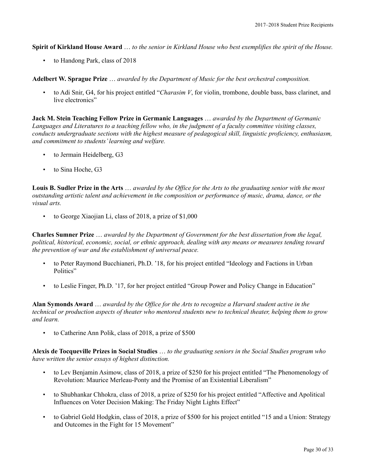**Spirit of Kirkland House Award** … *to the senior in Kirkland House who best exemplifies the spirit of the House.*

• to Handong Park, class of 2018

**Adelbert W. Sprague Prize** … *awarded by the Department of Music for the best orchestral composition.*

• to Adi Snir, G4, for his project entitled "*Charasim V*, for violin, trombone, double bass, bass clarinet, and live electronics"

**Jack M. Stein Teaching Fellow Prize in Germanic Languages** … *awarded by the Department of Germanic Languages and Literatures to a teaching fellow who, in the judgment of a faculty committee visiting classes, conducts undergraduate sections with the highest measure of pedagogical skill, linguistic proficiency, enthusiasm, and commitment to students' learning and welfare.*

- to Jermain Heidelberg, G3
- to Sina Hoche, G3

**Louis B. Sudler Prize in the Arts** … *awarded by the Office for the Arts to the graduating senior with the most outstanding artistic talent and achievement in the composition or performance of music, drama, dance, or the visual arts.*

• to George Xiaojian Li, class of 2018, a prize of \$1,000

**Charles Sumner Prize** … *awarded by the Department of Government for the best dissertation from the legal, political, historical, economic, social, or ethnic approach, dealing with any means or measures tending toward the prevention of war and the establishment of universal peace.*

- to Peter Raymond Bucchianeri, Ph.D. '18, for his project entitled "Ideology and Factions in Urban Politics"
- to Leslie Finger, Ph.D. '17, for her project entitled "Group Power and Policy Change in Education"

**Alan Symonds Award** … *awarded by the Office for the Arts to recognize a Harvard student active in the technical or production aspects of theater who mentored students new to technical theater, helping them to grow and learn.*

• to Catherine Ann Polik, class of 2018, a prize of \$500

**Alexis de Tocqueville Prizes in Social Studies** … *to the graduating seniors in the Social Studies program who have written the senior essays of highest distinction.*

- to Lev Benjamin Asimow, class of 2018, a prize of \$250 for his project entitled "The Phenomenology of Revolution: Maurice Merleau-Ponty and the Promise of an Existential Liberalism"
- to Shubhankar Chhokra, class of 2018, a prize of \$250 for his project entitled "Affective and Apolitical Influences on Voter Decision Making: The Friday Night Lights Effect"
- to Gabriel Gold Hodgkin, class of 2018, a prize of \$500 for his project entitled "15 and a Union: Strategy and Outcomes in the Fight for 15 Movement"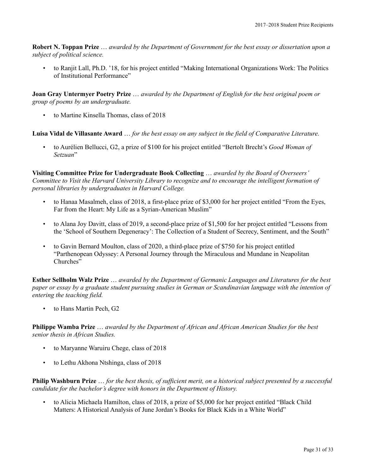**Robert N. Toppan Prize** … *awarded by the Department of Government for the best essay or dissertation upon a subject of political science.*

• to Ranjit Lall, Ph.D. '18, for his project entitled "Making International Organizations Work: The Politics of Institutional Performance"

**Joan Gray Untermyer Poetry Prize** … *awarded by the Department of English for the best original poem or group of poems by an undergraduate.*

• to Martine Kinsella Thomas, class of 2018

**Luisa Vidal de Villasante Award** … *for the best essay on any subject in the field of Comparative Literature.*

• to Aurélien Bellucci, G2, a prize of \$100 for his project entitled "Bertolt Brecht's *Good Woman of Setzuan*"

**Visiting Committee Prize for Undergraduate Book Collecting** … *awarded by the Board of Overseers' Committee to Visit the Harvard University Library to recognize and to encourage the intelligent formation of personal libraries by undergraduates in Harvard College.*

- to Hanaa Masalmeh, class of 2018, a first-place prize of \$3,000 for her project entitled "From the Eyes, Far from the Heart: My Life as a Syrian-American Muslim"
- to Alana Joy Davitt, class of 2019, a second-place prize of \$1,500 for her project entitled "Lessons from the 'School of Southern Degeneracy': The Collection of a Student of Secrecy, Sentiment, and the South"
- to Gavin Bernard Moulton, class of 2020, a third-place prize of \$750 for his project entitled "Parthenopean Odyssey: A Personal Journey through the Miraculous and Mundane in Neapolitan Churches"

**Esther Sellholm Walz Prize** … *awarded by the Department of Germanic Languages and Literatures for the best paper or essay by a graduate student pursuing studies in German or Scandinavian language with the intention of entering the teaching field.*

to Hans Martin Pech, G2

**Philippe Wamba Prize** … *awarded by the Department of African and African American Studies for the best senior thesis in African Studies.*

- to Maryanne Waruiru Chege, class of 2018
- to Lethu Akhona Ntshinga, class of 2018

**Philip Washburn Prize** … *for the best thesis, of sufficient merit, on a historical subject presented by a successful candidate for the bachelor's degree with honors in the Department of History.*

• to Alicia Michaela Hamilton, class of 2018, a prize of \$5,000 for her project entitled "Black Child Matters: A Historical Analysis of June Jordan's Books for Black Kids in a White World"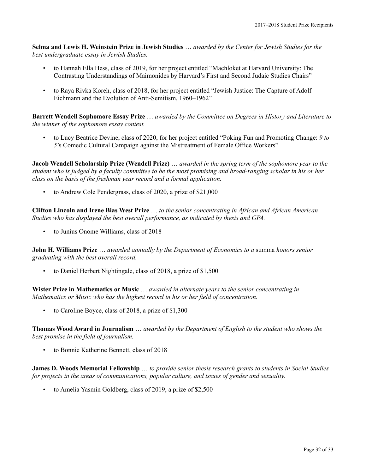**Selma and Lewis H. Weinstein Prize in Jewish Studies** … *awarded by the Center for Jewish Studies for the best undergraduate essay in Jewish Studies.*

- to Hannah Ella Hess, class of 2019, for her project entitled "Machloket at Harvard University: The Contrasting Understandings of Maimonides by Harvard's First and Second Judaic Studies Chairs"
- to Raya Rivka Koreh, class of 2018, for her project entitled "Jewish Justice: The Capture of Adolf Eichmann and the Evolution of Anti-Semitism, 1960–1962"

**Barrett Wendell Sophomore Essay Prize** … *awarded by the Committee on Degrees in History and Literature to the winner of the sophomore essay contest.*

• to Lucy Beatrice Devine, class of 2020, for her project entitled "Poking Fun and Promoting Change: *9 to 5*'s Comedic Cultural Campaign against the Mistreatment of Female Office Workers"

**Jacob Wendell Scholarship Prize (Wendell Prize)** … *awarded in the spring term of the sophomore year to the student who is judged by a faculty committee to be the most promising and broad-ranging scholar in his or her class on the basis of the freshman year record and a formal application.*

• to Andrew Cole Pendergrass, class of 2020, a prize of \$21,000

**Clifton Lincoln and Irene Bias West Prize** … *to the senior concentrating in African and African American Studies who has displayed the best overall performance, as indicated by thesis and GPA.*

• to Junius Onome Williams, class of 2018

**John H. Williams Prize** … *awarded annually by the Department of Economics to a* summa *honors senior graduating with the best overall record.*

• to Daniel Herbert Nightingale, class of 2018, a prize of \$1,500

**Wister Prize in Mathematics or Music** … *awarded in alternate years to the senior concentrating in Mathematics or Music who has the highest record in his or her field of concentration.*

• to Caroline Boyce, class of 2018, a prize of \$1,300

**Thomas Wood Award in Journalism** … *awarded by the Department of English to the student who shows the best promise in the field of journalism.*

• to Bonnie Katherine Bennett, class of 2018

**James D. Woods Memorial Fellowship** … *to provide senior thesis research grants to students in Social Studies for projects in the areas of communications, popular culture, and issues of gender and sexuality.*

• to Amelia Yasmin Goldberg, class of 2019, a prize of \$2,500